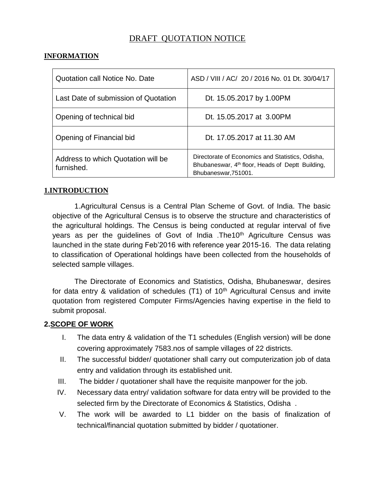# DRAFT QUOTATION NOTICE

## **INFORMATION**

| <b>Quotation call Notice No. Date</b>            | ASD / VIII / AC/ 20 / 2016 No. 01 Dt. 30/04/17                                                                                           |  |
|--------------------------------------------------|------------------------------------------------------------------------------------------------------------------------------------------|--|
| Last Date of submission of Quotation             | Dt. 15.05.2017 by 1.00PM                                                                                                                 |  |
| Opening of technical bid                         | Dt. 15.05.2017 at 3.00PM                                                                                                                 |  |
| Opening of Financial bid                         | Dt. 17.05.2017 at 11.30 AM                                                                                                               |  |
| Address to which Quotation will be<br>furnished. | Directorate of Economics and Statistics, Odisha,<br>Bhubaneswar, 4 <sup>th</sup> floor, Heads of Deptt Building,<br>Bhubaneswar, 751001. |  |

#### **1.INTRODUCTION**

1.Agricultural Census is a Central Plan Scheme of Govt. of India. The basic objective of the Agricultural Census is to observe the structure and characteristics of the agricultural holdings. The Census is being conducted at regular interval of five years as per the guidelines of Govt of India .The10<sup>th</sup> Agriculture Census was launched in the state during Feb'2016 with reference year 2015-16. The data relating to classification of Operational holdings have been collected from the households of selected sample villages.

The Directorate of Economics and Statistics, Odisha, Bhubaneswar, desires for data entry  $\&$  validation of schedules (T1) of 10<sup>th</sup> Agricultural Census and invite quotation from registered Computer Firms/Agencies having expertise in the field to submit proposal.

### **2.SCOPE OF WORK**

- I. The data entry & validation of the T1 schedules (English version) will be done covering approximately 7583.nos of sample villages of 22 districts.
- II. The successful bidder/ quotationer shall carry out computerization job of data entry and validation through its established unit.
- III. The bidder / quotationer shall have the requisite manpower for the job.
- IV. Necessary data entry/ validation software for data entry will be provided to the selected firm by the Directorate of Economics & Statistics, Odisha .
- V. The work will be awarded to L1 bidder on the basis of finalization of technical/financial quotation submitted by bidder / quotationer.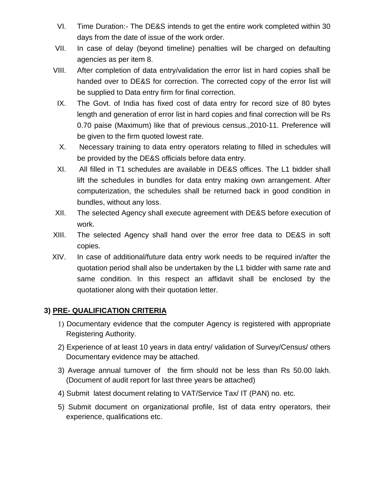- VI. Time Duration:- The DE&S intends to get the entire work completed within 30 days from the date of issue of the work order.
- VII. In case of delay (beyond timeline) penalties will be charged on defaulting agencies as per item 8.
- VIII. After completion of data entry/validation the error list in hard copies shall be handed over to DE&S for correction. The corrected copy of the error list will be supplied to Data entry firm for final correction.
- IX. The Govt. of India has fixed cost of data entry for record size of 80 bytes length and generation of error list in hard copies and final correction will be Rs 0.70 paise (Maximum) like that of previous census.,2010-11. Preference will be given to the firm quoted lowest rate.
- X. Necessary training to data entry operators relating to filled in schedules will be provided by the DE&S officials before data entry.
- XI. All filled in T1 schedules are available in DE&S offices. The L1 bidder shall lift the schedules in bundles for data entry making own arrangement. After computerization, the schedules shall be returned back in good condition in bundles, without any loss.
- XII. The selected Agency shall execute agreement with DE&S before execution of work.
- XIII. The selected Agency shall hand over the error free data to DE&S in soft copies.
- XIV. In case of additional/future data entry work needs to be required in/after the quotation period shall also be undertaken by the L1 bidder with same rate and same condition. In this respect an affidavit shall be enclosed by the quotationer along with their quotation letter.

### **3) PRE- QUALIFICATION CRITERIA**

- 1) Documentary evidence that the computer Agency is registered with appropriate Registering Authority.
- 2) Experience of at least 10 years in data entry/ validation of Survey/Census/ others Documentary evidence may be attached.
- 3) Average annual turnover of the firm should not be less than Rs 50.00 lakh. (Document of audit report for last three years be attached)
- 4) Submit latest document relating to VAT/Service Tax/ IT (PAN) no. etc.
- 5) Submit document on organizational profile, list of data entry operators, their experience, qualifications etc.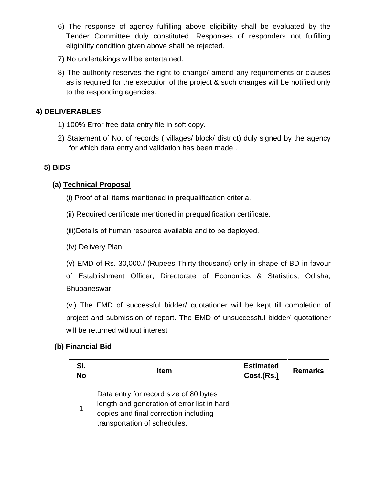- 6) The response of agency fulfilling above eligibility shall be evaluated by the Tender Committee duly constituted. Responses of responders not fulfilling eligibility condition given above shall be rejected.
- 7) No undertakings will be entertained.
- 8) The authority reserves the right to change/ amend any requirements or clauses as is required for the execution of the project & such changes will be notified only to the responding agencies.

# **4) DELIVERABLES**

- 1) 100% Error free data entry file in soft copy.
- 2) Statement of No. of records ( villages/ block/ district) duly signed by the agency for which data entry and validation has been made .

## **5) BIDS**

## **(a) Technical Proposal**

- (i) Proof of all items mentioned in prequalification criteria.
- (ii) Required certificate mentioned in prequalification certificate.

(iii)Details of human resource available and to be deployed.

(Iv) Delivery Plan.

(v) EMD of Rs. 30,000./-(Rupees Thirty thousand) only in shape of BD in favour of Establishment Officer, Directorate of Economics & Statistics, Odisha, Bhubaneswar.

(vi) The EMD of successful bidder/ quotationer will be kept till completion of project and submission of report. The EMD of unsuccessful bidder/ quotationer will be returned without interest

# **(b) Financial Bid**

| SI.<br><b>No</b> | <b>Item</b>                                                                                                                                                    | <b>Estimated</b><br>Cost.(Rs.) | <b>Remarks</b> |
|------------------|----------------------------------------------------------------------------------------------------------------------------------------------------------------|--------------------------------|----------------|
|                  | Data entry for record size of 80 bytes<br>length and generation of error list in hard<br>copies and final correction including<br>transportation of schedules. |                                |                |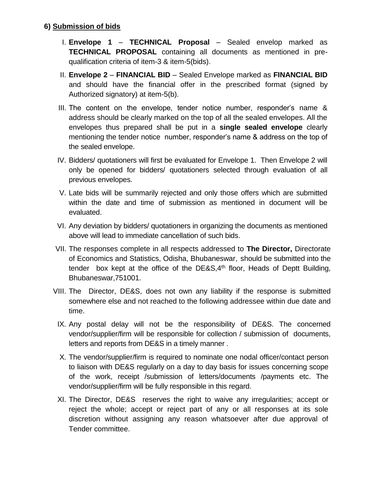### **6) Submission of bids**

- I. **Envelope 1 TECHNICAL Proposal** Sealed envelop marked as **TECHNICAL PROPOSAL** containing all documents as mentioned in prequalification criteria of item-3 & item-5(bids).
- II. **Envelope 2 FINANCIAL BID**  Sealed Envelope marked as **FINANCIAL BID** and should have the financial offer in the prescribed format (signed by Authorized signatory) at item-5(b).
- III. The content on the envelope, tender notice number, responder's name & address should be clearly marked on the top of all the sealed envelopes. All the envelopes thus prepared shall be put in a **single sealed envelope** clearly mentioning the tender notice number, responder's name & address on the top of the sealed envelope.
- IV. Bidders/ quotationers will first be evaluated for Envelope 1. Then Envelope 2 will only be opened for bidders/ quotationers selected through evaluation of all previous envelopes.
- V. Late bids will be summarily rejected and only those offers which are submitted within the date and time of submission as mentioned in document will be evaluated.
- VI. Any deviation by bidders/ quotationers in organizing the documents as mentioned above will lead to immediate cancellation of such bids.
- VII. The responses complete in all respects addressed to **The Director,** Directorate of Economics and Statistics, Odisha, Bhubaneswar, should be submitted into the tender box kept at the office of the DE&S, $4<sup>th</sup>$  floor, Heads of Deptt Building, Bhubaneswar,751001.
- VIII. The Director, DE&S, does not own any liability if the response is submitted somewhere else and not reached to the following addressee within due date and time.
	- IX. Any postal delay will not be the responsibility of DE&S. The concerned vendor/supplier/firm will be responsible for collection / submission of documents, letters and reports from DE&S in a timely manner .
	- X. The vendor/supplier/firm is required to nominate one nodal officer/contact person to liaison with DE&S regularly on a day to day basis for issues concerning scope of the work, receipt /submission of letters/documents /payments etc. The vendor/supplier/firm will be fully responsible in this regard.
	- XI. The Director, DE&S reserves the right to waive any irregularities; accept or reject the whole; accept or reject part of any or all responses at its sole discretion without assigning any reason whatsoever after due approval of Tender committee.